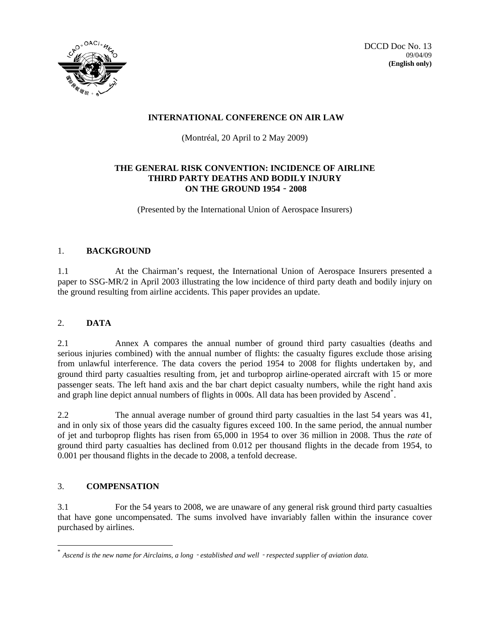

DCCD Doc No. 13 09/04/09 **(English only)**

# **INTERNATIONAL CONFERENCE ON AIR LAW**

(Montréal, 20 April to 2 May 2009)

# **THE GENERAL RISK CONVENTION: INCIDENCE OF AIRLINE THIRD PARTY DEATHS AND BODILY INJURY ON THE GROUND 1954**‐**2008**

(Presented by the International Union of Aerospace Insurers)

## 1. **BACKGROUND**

1.1 At the Chairman's request, the International Union of Aerospace Insurers presented a paper to SSG‐MR/2 in April 2003 illustrating the low incidence of third party death and bodily injury on the ground resulting from airline accidents. This paper provides an update.

# 2. **DATA**

2.1 Annex A compares the annual number of ground third party casualties (deaths and serious injuries combined) with the annual number of flights: the casualty figures exclude those arising from unlawful interference. The data covers the period 1954 to 2008 for flights undertaken by, and ground third party casualties resulting from, jet and turboprop airline‐operated aircraft with 15 or more passenger seats. The left hand axis and the bar chart depict casualty numbers, while the right hand axis and graph line depict annual numbers of flights in 000s. All data has been provided by Ascend[\\*](#page-0-0) .

2.2 The annual average number of ground third party casualties in the last 54 years was 41, and in only six of those years did the casualty figures exceed 100. In the same period, the annual number of jet and turboprop flights has risen from 65,000 in 1954 to over 36 million in 2008. Thus the *rate* of ground third party casualties has declined from 0.012 per thousand flights in the decade from 1954, to 0.001 per thousand flights in the decade to 2008, a tenfold decrease.

### 3. **COMPENSATION**

-

3.1 For the 54 years to 2008, we are unaware of any general risk ground third party casualties that have gone uncompensated. The sums involved have invariably fallen within the insurance cover purchased by airlines.

<span id="page-0-0"></span><sup>\*</sup> *Ascend is the new name for Airclaims, a long*‐*established and well*‐*respected supplier of aviation data.*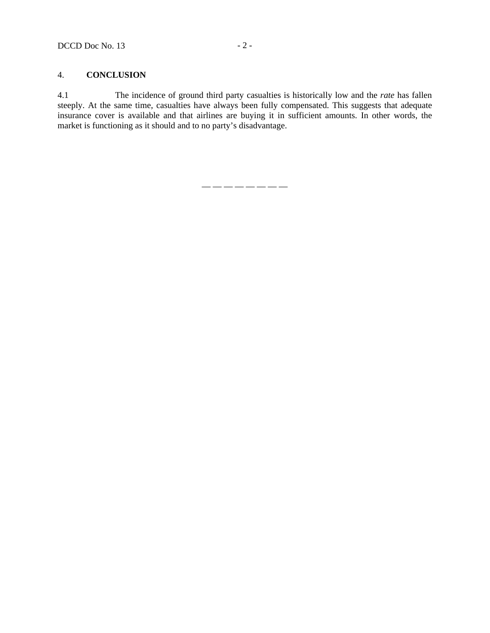### 4. **CONCLUSION**

4.1 The incidence of ground third party casualties is historically low and the *rate* has fallen steeply. At the same time, casualties have always been fully compensated. This suggests that adequate insurance cover is available and that airlines are buying it in sufficient amounts. In other words, the market is functioning as it should and to no party's disadvantage.

 $\longrightarrow$  —  $\longrightarrow$  — — — — —